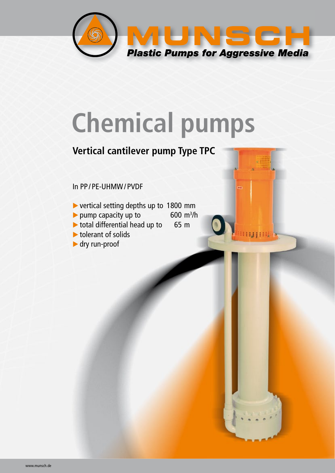

# **Chemical pumps**

600  $m^3/h$ 

### **Vertical cantilever pump Type TPC**

#### In PP / PE-UHMW / PVDF

- vertical setting depths up to 1800 mm
- $\blacktriangleright$  pump capacity up to
- $\triangleright$  total differential head up to 65 m
- tolerant of solids
- dry run-proof

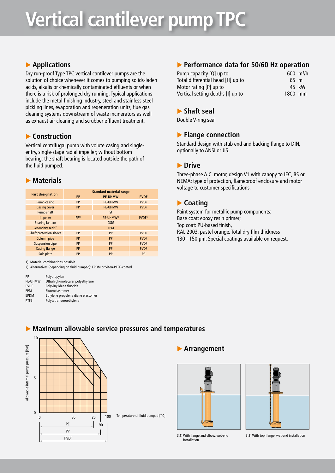## **Vertical cantilever pump TPC**

#### **Applications**

Dry run-proof Type TPC vertical cantilever pumps are the solution of choice whenever it comes to pumping solids-laden acids, alkalis or chemically contaminated effluents or when there is a risk of prolonged dry running. Typical applications include the metal finishing industry, steel and stainless steel pickling lines, evaporation and regeneration units, flue gas cleaning systems downstream of waste incinerators as well as exhaust air cleaning and scrubber effluent treatment.

#### **Construction**

Vertical centrifugal pump with volute casing and singleentry, single-stage radial impeller; without bottom bearing; the shaft bearing is located outside the path of the fluid pumped.

#### **Materials**

|                               | <b>Standard material range</b> |                       |                   |  |  |  |  |
|-------------------------------|--------------------------------|-----------------------|-------------------|--|--|--|--|
| <b>Part designation</b>       | <b>PP</b>                      | <b>PVDF</b>           |                   |  |  |  |  |
| <b>Pump casing</b>            | PP                             | <b>PE-UHMW</b>        | <b>PVDF</b>       |  |  |  |  |
| <b>Casing cover</b>           | PP                             | <b>PE-UHMW</b>        | <b>PVDF</b>       |  |  |  |  |
| Pump shaft                    |                                | St                    |                   |  |  |  |  |
| Impeller                      | PP <sub>1</sub>                | PE-UHMW <sup>1)</sup> | PVDF <sup>1</sup> |  |  |  |  |
| <b>Bearing lantern</b>        |                                | GGG                   |                   |  |  |  |  |
| Secondary seals <sup>2)</sup> |                                | <b>FPM</b>            |                   |  |  |  |  |
| Shaft protection sleeve       | PP                             | PP                    | <b>PVDF</b>       |  |  |  |  |
| Column pipe                   | PP                             | PP                    | <b>PVDF</b>       |  |  |  |  |
| <b>Suspension pipe</b>        | PP                             | PP                    | <b>PVDF</b>       |  |  |  |  |
| <b>Casing flange</b>          | PP                             | PP                    | <b>PVDF</b>       |  |  |  |  |
| Sole plate                    | PP                             | PP                    | PP                |  |  |  |  |

1) Material combinations possible

2) Alternatives (depending on fluid pumped): EPDM or Viton-PTFE-coated

| PP          | Polypropylen                       |
|-------------|------------------------------------|
| PE-UHMW     | Ultrahigh-molecular polyethylene   |
| <b>PVDF</b> | Polyvinylidene fluoride            |
| <b>FPM</b>  | Fluoroelastomer                    |
| <b>EPDM</b> | Ethylene propylene diene elastomer |
| <b>PTFE</b> | Polytetrafluoroethylene            |
|             |                                    |

#### **Performance data for 50/60 Hz operation**

| Pump capacity [Q] up to           |         | $600 \text{ m}^3/h$ |
|-----------------------------------|---------|---------------------|
| Total differential head [H] up to | 65 m    |                     |
| Motor rating $[P]$ up to          |         | 45 kW               |
| Vertical setting depths [I] up to | 1800 mm |                     |

#### **Shaft seal**

Double V-ring seal

#### **Flange connection**

Standard design with stub end and backing flange to DIN, optionally to ANSI or JIS.

#### **Drive**

Three-phase A.C. motor, design V1 with canopy to IEC, BS or NEMA; type of protection, flameproof enclosure and motor voltage to customer specifications.

#### **Coating**

Paint system for metallic pump components: Base coat: epoxy resin primer; Top coat: PU-based finish, RAL 2003, pastel orange. Total dry film thickness 130 – 150 µm. Special coatings available on request.



**Maximum allowable service pressures and temperatures**

#### **Arrangement**





3.1) With flange and elbow, wet-end installation

3.2) With top flange, wet-end installation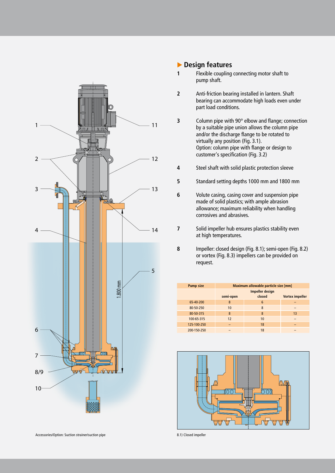

#### **Design features**

- **1** Flexible coupling connecting motor shaft to pump shaft.
- **2** Anti-friction bearing installed in lantern. Shaft bearing can accommodate high loads even under part load conditions.
- **3** Column pipe with 90° elbow and flange; connection by a suitable pipe union allows the column pipe and/or the discharge flange to be rotated to virtually any position (Fig. 3.1). Option: column pipe with flange or design to customer's specification (Fig. 3.2)
- **4** Steel shaft with solid plastic protection sleeve
- **5** Standard setting depths 1000 mm and 1800 mm
- **6** Volute casing, casing cover and suspension pipe made of solid plastics; with ample abrasion allowance; maximum reliability when handling corrosives and abrasives.
- **7** Solid impeller hub ensures plastics stability even at high temperatures.
- **8** Impeller: closed design (Fig. 8.1); semi-open (Fig. 8.2) or vortex (Fig. 8.3) impellers can be provided on request.

| <b>Pump size</b> | Maximum allowable particle size [mm] |        |                        |  |  |  |  |  |
|------------------|--------------------------------------|--------|------------------------|--|--|--|--|--|
|                  | <b>Impeller design</b>               |        |                        |  |  |  |  |  |
|                  | semi-open                            | closed | <b>Vortex impeller</b> |  |  |  |  |  |
| 65-40-200        | 8                                    | 6      |                        |  |  |  |  |  |
| 80-50-250        | 10                                   | 8      |                        |  |  |  |  |  |
| 80-50-315        | 8                                    | 8      | 13                     |  |  |  |  |  |
| 100-65-315       | 12                                   | 10     |                        |  |  |  |  |  |
| 125-100-250      |                                      | 18     |                        |  |  |  |  |  |
| 200-150-250      |                                      | 18     |                        |  |  |  |  |  |

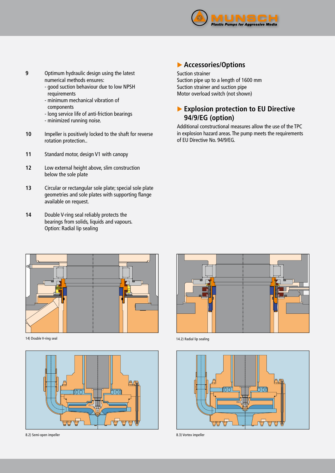

- **9** Optimum hydraulic design using the latest numerical methods ensures:
	- good suction behaviour due to low NPSH requirements
	- minimum mechanical vibration of
	- components
	- long service life of anti-friction bearings
	- minimized running noise.
- **10** Impeller is positively locked to the shaft for reverse rotation protection..
- **11** Standard motor, design V1 with canopy
- **12** Low external height above, slim construction below the sole plate
- **13** Circular or rectangular sole plate; special sole plate geometries and sole plates with supporting flange available on request.
- **14** Double V-ring seal reliably protects the bearings from solids, liquids and vapours. Option: Radial lip sealing

#### **Accessories/Options**

#### Suction strainer Suction pipe up to a length of 1600 mm Suction strainer and suction pipe

Motor overload switch (not shown)

#### **Explosion protection to EU Directive 94/9/EG (option)**

Additional constructional measures allow the use of the TPC in explosion hazard areas. The pump meets the requirements of EU Directive No. 94/9/EG.



14) Double V-ring seal



8.2) Semi-open impeller 8.3) Vortex impeller



14.2) Radial lip sealing

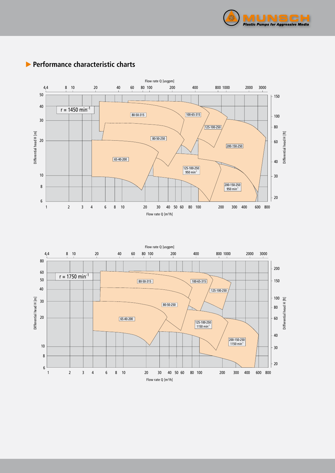



#### **Performance characteristic charts**